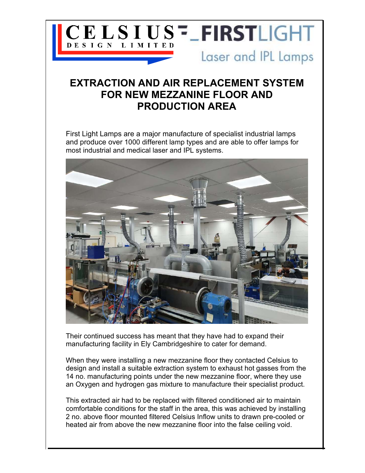

## EXTRACTION AND AIR REPLACEMENT SYSTEM FOR NEW MEZZANINE FLOOR AND PRODUCTION AREA

First Light Lamps are a major manufacture of specialist industrial lamps and produce over 1000 different lamp types and are able to offer lamps for most industrial and medical laser and IPL systems.



Their continued success has meant that they have had to expand their manufacturing facility in Ely Cambridgeshire to cater for demand.

When they were installing a new mezzanine floor they contacted Celsius to design and install a suitable extraction system to exhaust hot gasses from the 14 no. manufacturing points under the new mezzanine floor, where they use an Oxygen and hydrogen gas mixture to manufacture their specialist product.

This extracted air had to be replaced with filtered conditioned air to maintain comfortable conditions for the staff in the area, this was achieved by installing 2 no. above floor mounted filtered Celsius Inflow units to drawn pre-cooled or heated air from above the new mezzanine floor into the false ceiling void.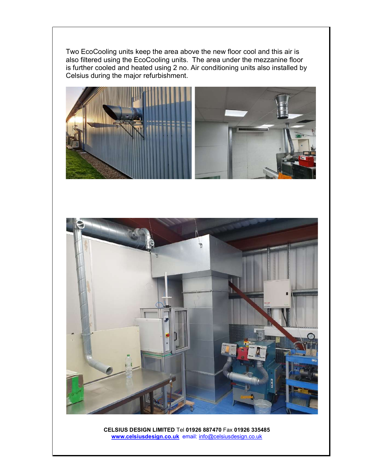Two EcoCooling units keep the area above the new floor cool and this air is also filtered using the EcoCooling units. The area under the mezzanine floor is further cooled and heated using 2 no. Air conditioning units also installed by Celsius during the major refurbishment.





CELSIUS DESIGN LIMITED Tel 01926 887470 Fax 01926 335485 www.celsiusdesign.co.uk email: info@celsiusdesign.co.uk